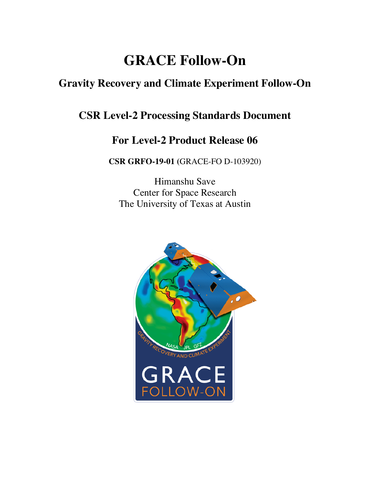# **GRACE Follow-On**

# **Gravity Recovery and Climate Experiment Follow-On**

# **CSR Level-2 Processing Standards Document**

# **For Level-2 Product Release 06**

**CSR GRFO-19-01 (**GRACE-FO D-103920)

Himanshu Save Center for Space Research The University of Texas at Austin

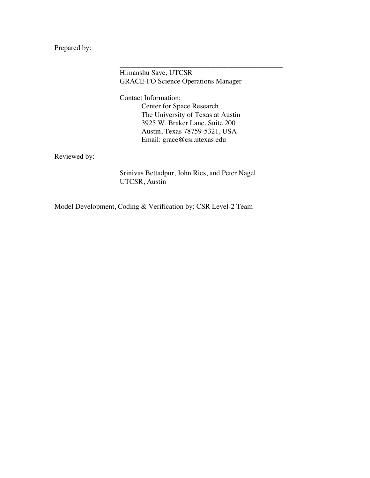Prepared by:

Himanshu Save, UTCSR GRACE-FO Science Operations Manager

\_\_\_\_\_\_\_\_\_\_\_\_\_\_\_\_\_\_\_\_\_\_\_\_\_\_\_\_\_\_\_\_\_\_\_\_\_\_\_\_\_\_\_\_\_

Contact Information: Center for Space Research The University of Texas at Austin 3925 W. Braker Lane, Suite 200 Austin, Texas 78759-5321, USA Email: grace@csr.utexas.edu

Reviewed by:

Srinivas Bettadpur, John Ries, and Peter Nagel UTCSR, Austin

Model Development, Coding & Verification by: CSR Level-2 Team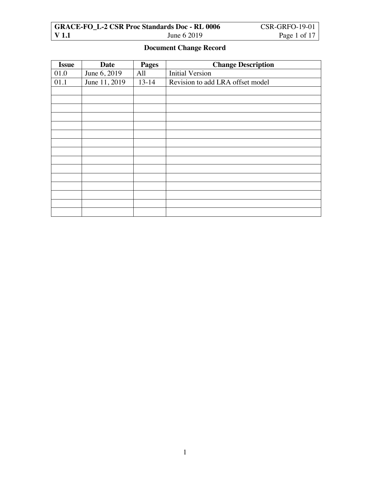|       | <b>GRACE-FO L-2 CSR Proc Standards Doc - RL 0006</b> | CSR-GRFO-19-01 |
|-------|------------------------------------------------------|----------------|
| V 1.1 | June 6 2019                                          | Page 1 of 17   |

## **Document Change Record**

| <b>Issue</b> | <b>Date</b>   | <b>Pages</b> | <b>Change Description</b>        |
|--------------|---------------|--------------|----------------------------------|
| 01.0         | June 6, 2019  | All          | <b>Initial Version</b>           |
| 01.1         | June 11, 2019 | $13 - 14$    | Revision to add LRA offset model |
|              |               |              |                                  |
|              |               |              |                                  |
|              |               |              |                                  |
|              |               |              |                                  |
|              |               |              |                                  |
|              |               |              |                                  |
|              |               |              |                                  |
|              |               |              |                                  |
|              |               |              |                                  |
|              |               |              |                                  |
|              |               |              |                                  |
|              |               |              |                                  |
|              |               |              |                                  |
|              |               |              |                                  |
|              |               |              |                                  |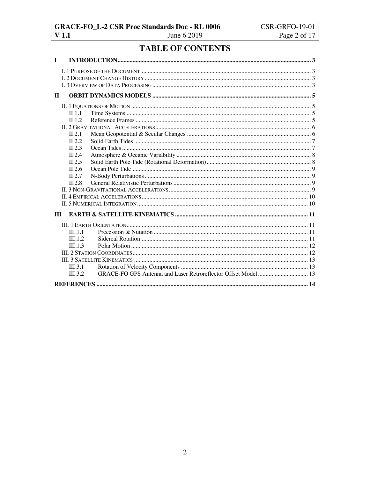# **TABLE OF CONTENTS**

| $\mathbf I$  |                  |  |
|--------------|------------------|--|
|              |                  |  |
|              |                  |  |
|              |                  |  |
| $\mathbf{H}$ |                  |  |
|              |                  |  |
|              | II.1.1           |  |
|              | II.1.2           |  |
|              |                  |  |
|              | II.2.1           |  |
|              | II.2.2           |  |
|              | II.2.3           |  |
|              | II.2.4           |  |
|              | II.2.5           |  |
|              | II.2.6<br>II.2.7 |  |
|              | II.2.8           |  |
|              |                  |  |
|              |                  |  |
|              |                  |  |
| Ш            |                  |  |
|              |                  |  |
|              |                  |  |
|              | III.1.1          |  |
|              | III.1.2          |  |
|              | III.1.3          |  |
|              |                  |  |
|              | III.3.1          |  |
|              | III.3.2          |  |
|              |                  |  |
|              |                  |  |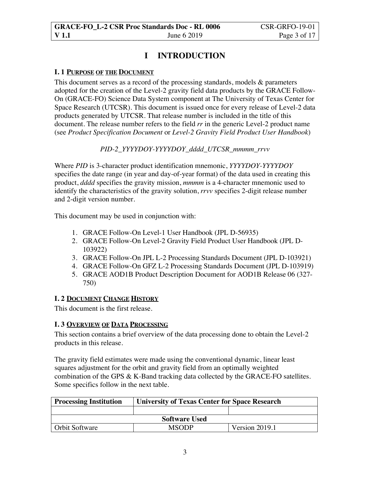# **I INTRODUCTION**

#### **I. 1 PURPOSE OF THE DOCUMENT**

This document serves as a record of the processing standards, models & parameters adopted for the creation of the Level-2 gravity field data products by the GRACE Follow-On (GRACE-FO) Science Data System component at The University of Texas Center for Space Research (UTCSR). This document is issued once for every release of Level-2 data products generated by UTCSR. That release number is included in the title of this document. The release number refers to the field *rr* in the generic Level-2 product name (see *Product Specification Document* or *Level-2 Gravity Field Product User Handbook*)

#### *PID-2\_YYYYDOY-YYYYDOY\_dddd\_UTCSR\_mmmm\_rrvv*

Where *PID* is 3-character product identification mnemonic, *YYYYDOY-YYYYDOY* specifies the date range (in year and day-of-year format) of the data used in creating this product, *dddd* specifies the gravity mission, *mmmm* is a 4-character mnemonic used to identify the characteristics of the gravity solution, *rrvv* specifies 2-digit release number and 2-digit version number.

This document may be used in conjunction with:

- 1. GRACE Follow-On Level-1 User Handbook (JPL D-56935)
- 2. GRACE Follow-On Level-2 Gravity Field Product User Handbook (JPL D-103922)
- 3. GRACE Follow-On JPL L-2 Processing Standards Document (JPL D-103921)
- 4. GRACE Follow-On GFZ L-2 Processing Standards Document (JPL D-103919)
- 5. GRACE AOD1B Product Description Document for AOD1B Release 06 (327- 750)

#### **I. 2 DOCUMENT CHANGE HISTORY**

This document is the first release.

#### **I. 3 OVERVIEW OF DATA PROCESSING**

This section contains a brief overview of the data processing done to obtain the Level-2 products in this release.

The gravity field estimates were made using the conventional dynamic, linear least squares adjustment for the orbit and gravity field from an optimally weighted combination of the GPS & K-Band tracking data collected by the GRACE-FO satellites. Some specifics follow in the next table.

| <b>Processing Institution</b> | <b>University of Texas Center for Space Research</b> |                |  |
|-------------------------------|------------------------------------------------------|----------------|--|
|                               |                                                      |                |  |
| <b>Software Used</b>          |                                                      |                |  |
| <b>Orbit Software</b>         | <b>MSODP</b>                                         | Version 2019.1 |  |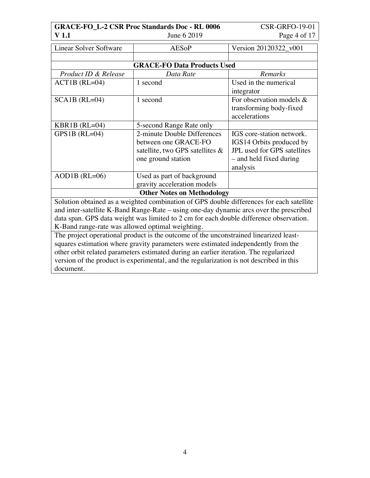| <b>GRACE-FO_L-2 CSR Proc Standards Doc - RL 0006</b><br><b>CSR-GRFO-19-01</b>           |                                                                                          |                             |  |  |
|-----------------------------------------------------------------------------------------|------------------------------------------------------------------------------------------|-----------------------------|--|--|
| V <sub>1.1</sub>                                                                        | June 6 2019                                                                              | Page 4 of 17                |  |  |
| <b>Linear Solver Software</b>                                                           | <b>AESoP</b>                                                                             | Version 20120322 v001       |  |  |
|                                                                                         |                                                                                          |                             |  |  |
|                                                                                         | <b>GRACE-FO Data Products Used</b>                                                       |                             |  |  |
| Product ID & Release                                                                    | Data Rate                                                                                | <b>Remarks</b>              |  |  |
| $ACT1B (RL=04)$                                                                         | 1 second                                                                                 | Used in the numerical       |  |  |
|                                                                                         |                                                                                          | integrator                  |  |  |
| $SCA1B (RL=04)$                                                                         | 1 second                                                                                 | For observation models $&$  |  |  |
|                                                                                         |                                                                                          | transforming body-fixed     |  |  |
|                                                                                         |                                                                                          | accelerations               |  |  |
| KBR1B $(RL=04)$                                                                         | 5-second Range Rate only                                                                 |                             |  |  |
| $GPS1B (RL=04)$                                                                         | 2-minute Double Differences                                                              | IGS core-station network.   |  |  |
|                                                                                         | between one GRACE-FO                                                                     | IGS14 Orbits produced by    |  |  |
|                                                                                         | satellite, two GPS satellites $\&$                                                       | JPL used for GPS satellites |  |  |
|                                                                                         | one ground station                                                                       | - and held fixed during     |  |  |
|                                                                                         |                                                                                          | analysis                    |  |  |
| $AOD1B$ (RL=06)                                                                         | Used as part of background                                                               |                             |  |  |
|                                                                                         | gravity acceleration models                                                              |                             |  |  |
| <b>Other Notes on Methodology</b>                                                       |                                                                                          |                             |  |  |
|                                                                                         | Solution obtained as a weighted combination of GPS double differences for each satellite |                             |  |  |
| and inter-satellite K-Band Range-Rate – using one-day dynamic arcs over the prescribed  |                                                                                          |                             |  |  |
| data span. GPS data weight was limited to 2 cm for each double difference observation.  |                                                                                          |                             |  |  |
| K-Band range-rate was allowed optimal weighting.                                        |                                                                                          |                             |  |  |
| The project operational product is the outcome of the unconstrained linearized least-   |                                                                                          |                             |  |  |
| squares estimation where gravity parameters were estimated independently from the       |                                                                                          |                             |  |  |
| other orbit related parameters estimated during an earlier iteration. The regularized   |                                                                                          |                             |  |  |
| version of the product is experimental, and the regularization is not described in this |                                                                                          |                             |  |  |

document.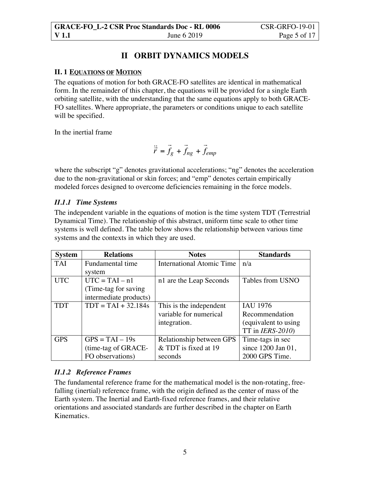## **II ORBIT DYNAMICS MODELS**

### **II. 1 EQUATIONS OF MOTION**

The equations of motion for both GRACE-FO satellites are identical in mathematical form. In the remainder of this chapter, the equations will be provided for a single Earth orbiting satellite, with the understanding that the same equations apply to both GRACE-FO satellites. Where appropriate, the parameters or conditions unique to each satellite will be specified.

In the inertial frame

$$
\ddot{\vec{r}} = \vec{f}_g + \vec{f}_{ng} + \vec{f}_{emp}
$$

where the subscript "g" denotes gravitational accelerations; "ng" denotes the acceleration due to the non-gravitational or skin forces; and "emp" denotes certain empirically modeled forces designed to overcome deficiencies remaining in the force models.

### *II.1.1 Time Systems*

The independent variable in the equations of motion is the time system TDT (Terrestrial Dynamical Time). The relationship of this abstract, uniform time scale to other time systems is well defined. The table below shows the relationship between various time systems and the contexts in which they are used.

| <b>System</b> | <b>Relations</b>       | <b>Notes</b>                     | <b>Standards</b>     |
|---------------|------------------------|----------------------------------|----------------------|
| <b>TAI</b>    | Fundamental time       | <b>International Atomic Time</b> | n/a                  |
|               | system                 |                                  |                      |
| <b>UTC</b>    | $UTC = TAI - n1$       | n1 are the Leap Seconds          | Tables from USNO     |
|               | (Time-tag for saving)  |                                  |                      |
|               | intermediate products) |                                  |                      |
| <b>TDT</b>    | $TDT = TAI + 32.184s$  | This is the independent          | <b>IAU 1976</b>      |
|               |                        | variable for numerical           | Recommendation       |
|               |                        | integration.                     | (equivalent to using |
|               |                        |                                  | TT in $IERS-2010$ )  |
| <b>GPS</b>    | $GPS = TAI - 19s$      | Relationship between GPS         | Time-tags in sec     |
|               | (time-tag of GRACE-    | & TDT is fixed at 19             | since 1200 Jan 01,   |
|               | FO observations)       | seconds                          | 2000 GPS Time.       |

### *II.1.2 Reference Frames*

The fundamental reference frame for the mathematical model is the non-rotating, freefalling (inertial) reference frame, with the origin defined as the center of mass of the Earth system. The Inertial and Earth-fixed reference frames, and their relative orientations and associated standards are further described in the chapter on Earth Kinematics.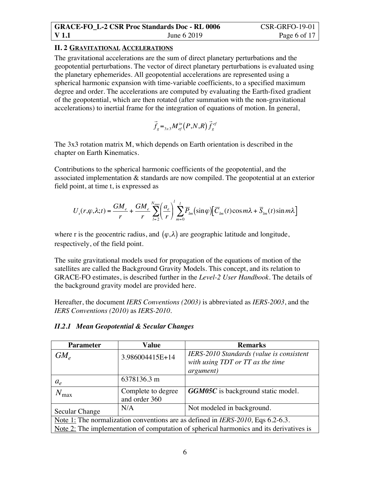## **II. 2 GRAVITATIONAL ACCELERATIONS**

The gravitational accelerations are the sum of direct planetary perturbations and the geopotential perturbations. The vector of direct planetary perturbations is evaluated using the planetary ephemerides. All geopotential accelerations are represented using a spherical harmonic expansion with time-variable coefficients, to a specified maximum degree and order. The accelerations are computed by evaluating the Earth-fixed gradient of the geopotential, which are then rotated (after summation with the non-gravitational accelerations) to inertial frame for the integration of equations of motion. In general,

$$
\vec{f}_g =_{3x3} M_{ef}^{in} (P, N, R) \vec{f}_g^{ef}
$$

The 3x3 rotation matrix M, which depends on Earth orientation is described in the chapter on Earth Kinematics.

Contributions to the spherical harmonic coefficients of the geopotential, and the associated implementation & standards are now compiled. The geopotential at an exterior field point, at time t, is expressed as

$$
U_{s}(r,\varphi,\lambda;t) = \frac{GM_e}{r} + \frac{GM_e}{r} \sum_{l=2}^{N_{\text{max}}} \left(\frac{a_e}{r}\right)^l \sum_{m=0}^{l} \overline{P}_{lm}(\sin\varphi) \left[\overline{C}_{lm}(t)\cos m\lambda + \overline{S}_{lm}(t)\sin m\lambda\right]
$$

where r is the geocentric radius, and  $(\varphi, \lambda)$  are geographic latitude and longitude, respectively, of the field point.

The suite gravitational models used for propagation of the equations of motion of the satellites are called the Background Gravity Models. This concept, and its relation to GRACE-FO estimates, is described further in the *Level-2 User Handbook*. The details of the background gravity model are provided here.

Hereafter, the document *IERS Conventions (2003)* is abbreviated as *IERS-2003*, and the *IERS Conventions (2010)* as *IERS-2010*.

| <b>Parameter</b>                                                                        | Value                               | <b>Remarks</b>                                                                                    |
|-----------------------------------------------------------------------------------------|-------------------------------------|---------------------------------------------------------------------------------------------------|
| $GM_{\scriptscriptstyle e}$                                                             | 3.986004415E+14                     | IERS-2010 Standards (value is consistent<br>with using TDT or TT as the time<br><i>argument</i> ) |
| $a_e$                                                                                   | 6378136.3 m                         |                                                                                                   |
| $N_{\rm max}$                                                                           | Complete to degree<br>and order 360 | <b>GGM05C</b> is background static model.                                                         |
| Secular Change                                                                          | N/A                                 | Not modeled in background.                                                                        |
|                                                                                         |                                     | Note 1: The normalization conventions are as defined in <i>IERS-2010</i> , Eqs $6.2-6.3$ .        |
| Note 2: The implementation of computation of spherical harmonics and its derivatives is |                                     |                                                                                                   |

### *II.2.1 Mean Geopotential & Secular Changes*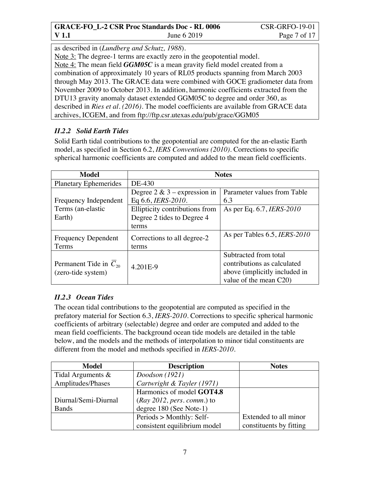as described in (*Lundberg and Schutz, 1988*).

Note 3: The degree-1 terms are exactly zero in the geopotential model.

Note 4: The mean field *GGM05C* is a mean gravity field model created from a combination of approximately 10 years of RL05 products spanning from March 2003 through May 2013. The GRACE data were combined with GOCE gradiometer data from November 2009 to October 2013. In addition, harmonic coefficients extracted from the DTU13 gravity anomaly dataset extended GGM05C to degree and order 360, as described in *Ries et al. (2016).* The model coefficients are available from GRACE data archives, ICGEM, and from ftp://ftp.csr.utexas.edu/pub/grace/GGM05

## *II.2.2 Solid Earth Tides*

Solid Earth tidal contributions to the geopotential are computed for the an-elastic Earth model, as specified in Section 6.2, *IERS Conventions (2010)*. Corrections to specific spherical harmonic coefficients are computed and added to the mean field coefficients.

| Model                        | <b>Notes</b>                    |                                     |
|------------------------------|---------------------------------|-------------------------------------|
| <b>Planetary Ephemerides</b> | DE-430                          |                                     |
|                              | Degree $2 \& 3$ – expression in | Parameter values from Table         |
| Frequency Independent        | Eq 6.6, <i>IERS-2010</i> .      | 6.3                                 |
| Terms (an-elastic            | Ellipticity contributions from  | As per Eq. 6.7, <i>IERS-2010</i>    |
| Earth)                       | Degree 2 tides to Degree 4      |                                     |
|                              | terms                           |                                     |
| <b>Frequency Dependent</b>   | Corrections to all degree-2     | As per Tables 6.5, <i>IERS-2010</i> |
| Terms                        | terms                           |                                     |
|                              |                                 | Subtracted from total               |
| Permanent Tide in $C_{20}$   | 4.201E-9                        | contributions as calculated         |
| (zero-tide system)           |                                 | above (implicitly included in       |
|                              |                                 | value of the mean C20)              |

## *II.2.3 Ocean Tides* €

The ocean tidal contributions to the geopotential are computed as specified in the prefatory material for Section 6.3, *IERS-2010*. Corrections to specific spherical harmonic coefficients of arbitrary (selectable) degree and order are computed and added to the mean field coefficients. The background ocean tide models are detailed in the table below, and the models and the methods of interpolation to minor tidal constituents are different from the model and methods specified in *IERS-2010*.

| <b>Model</b>         | <b>Description</b>           | <b>Notes</b>            |
|----------------------|------------------------------|-------------------------|
| Tidal Arguments &    | Doodson $(1921)$             |                         |
| Amplitudes/Phases    | Cartwright & Tayler (1971)   |                         |
|                      | Harmonics of model GOT4.8    |                         |
| Diurnal/Semi-Diurnal | $(Ray 2012, pers. comm.)$ to |                         |
| <b>Bands</b>         | degree 180 (See Note-1)      |                         |
|                      | Periods > Monthly: Self-     | Extended to all minor   |
|                      | consistent equilibrium model | constituents by fitting |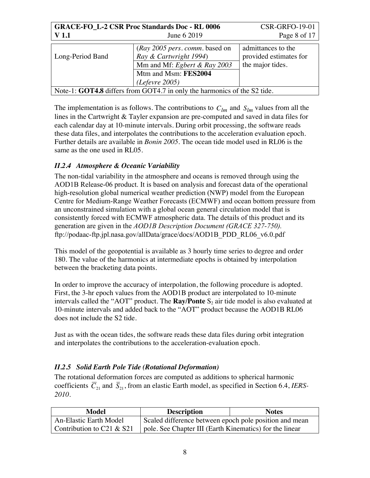| <b>GRACE-FO_L-2 CSR Proc Standards Doc - RL 0006</b>                            | <b>CSR-GRFO-19-01</b>                                                                                                              |                                                                  |
|---------------------------------------------------------------------------------|------------------------------------------------------------------------------------------------------------------------------------|------------------------------------------------------------------|
| <b>V</b> 1.1                                                                    | June 6 2019                                                                                                                        | Page 8 of 17                                                     |
| Long-Period Band                                                                | (Ray 2005 pers. comm. based on<br>Ray & Cartwright 1994)<br>Mm and Mf: Egbert & Ray 2003<br>Mtm and Msm: FES2004<br>(Lefevre 2005) | admittances to the<br>provided estimates for<br>the major tides. |
| Note-1: <b>GOT4.8</b> differs from GOT4.7 in only the harmonics of the S2 tide. |                                                                                                                                    |                                                                  |

The implementation is as follows. The contributions to  $C_{lm}$  and  $S_{lm}$  values from all the lines in the Cartwright & Tayler expansion are pre-computed and saved in data files for each calendar day at 10-minute intervals. During orbit processing, the software reads these data files, and interpolates the contributions to the acceleration evaluation epoch. Further details are available in *Bonin 2005*. The ocean tide model used in RL06 is the same as the one used in RL05.

## *II.2.4 Atmosphere & Oceanic Variability*

The non-tidal variability in the atmosphere and oceans is removed through using the AOD1B Release-06 product. It is based on analysis and forecast data of the operational high-resolution global numerical weather prediction (NWP) model from the European Centre for Medium-Range Weather Forecasts (ECMWF) and ocean bottom pressure from an unconstrained simulation with a global ocean general circulation model that is consistently forced with ECMWF atmospheric data. The details of this product and its generation are given in the *AOD1B Description Document (GRACE 327-750).* ftp://podaac-ftp.jpl.nasa.gov/allData/grace/docs/AOD1B\_PDD\_RL06\_v6.0.pdf

This model of the geopotential is available as 3 hourly time series to degree and order 180. The value of the harmonics at intermediate epochs is obtained by interpolation between the bracketing data points.

In order to improve the accuracy of interpolation, the following procedure is adopted. First, the 3-hr epoch values from the AOD1B product are interpolated to 10-minute intervals called the "AOT" product. The **Ray/Ponte**  $S_2$  air tide model is also evaluated at 10-minute intervals and added back to the "AOT" product because the AOD1B RL06 does not include the S2 tide.

Just as with the ocean tides, the software reads these data files during orbit integration and interpolates the contributions to the acceleration-evaluation epoch.

## *II.2.5 Solid Earth Pole Tide (Rotational Deformation)*

The rotational deformation forces are computed as additions to spherical harmonic coefficients  $C_{21}$  and  $S_{21}$ , from an elastic Earth model, as specified in Section 6.4, *IERS*-*2010*.

| Model                        | <b>Description</b>                                      | <b>Notes</b> |
|------------------------------|---------------------------------------------------------|--------------|
| An-Elastic Earth Model       | Scaled difference between epoch pole position and mean  |              |
| Contribution to $C21 & 8S21$ | pole. See Chapter III (Earth Kinematics) for the linear |              |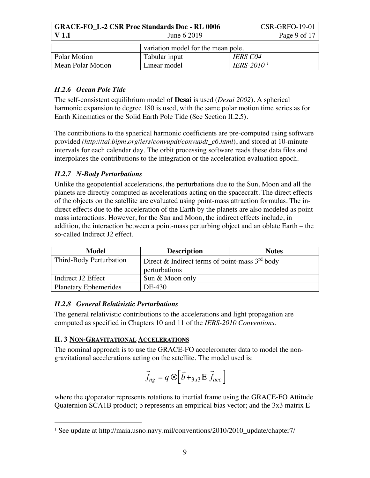| <b>GRACE-FO L-2 CSR Proc Standards Doc - RL 0006</b> |              | CSR-GRFO-19-01 |
|------------------------------------------------------|--------------|----------------|
| V 1.1                                                | June $62019$ | Page 9 of 17   |
|                                                      |              |                |

|                   | variation model for the mean pole. |                               |
|-------------------|------------------------------------|-------------------------------|
| Polar Motion      | Tabular input                      | <b>IERS C04</b>               |
| Mean Polar Motion | Linear model                       | <b>IERS-2010</b> <sup>1</sup> |

### *II.2.6 Ocean Pole Tide*

The self-consistent equilibrium model of **Desai** is used (*Desai 2002*). A spherical harmonic expansion to degree 180 is used, with the same polar motion time series as for Earth Kinematics or the Solid Earth Pole Tide (See Section II.2.5).

The contributions to the spherical harmonic coefficients are pre-computed using software provided *(http://tai.bipm.org/iers/convupdt/convupdt\_c6.html*), and stored at 10-minute intervals for each calendar day. The orbit processing software reads these data files and interpolates the contributions to the integration or the acceleration evaluation epoch.

## *II.2.7 N-Body Perturbations*

Unlike the geopotential accelerations, the perturbations due to the Sun, Moon and all the planets are directly computed as accelerations acting on the spacecraft. The direct effects of the objects on the satellite are evaluated using point-mass attraction formulas. The indirect effects due to the acceleration of the Earth by the planets are also modeled as pointmass interactions. However, for the Sun and Moon, the indirect effects include, in addition, the interaction between a point-mass perturbing object and an oblate Earth – the so-called Indirect J2 effect.

| Model                        | <b>Description</b>                               | <b>Notes</b> |
|------------------------------|--------------------------------------------------|--------------|
| Third-Body Perturbation      | Direct & Indirect terms of point-mass $3rd$ body |              |
|                              | perturbations                                    |              |
| Indirect J2 Effect           | Sun & Moon only                                  |              |
| <b>Planetary Ephemerides</b> | DE-430                                           |              |

### *II.2.8 General Relativistic Perturbations*

The general relativistic contributions to the accelerations and light propagation are computed as specified in Chapters 10 and 11 of the *IERS-2010 Conventions*.

### **II. 3 NON-GRAVITATIONAL ACCELERATIONS**

The nominal approach is to use the GRACE-FO accelerometer data to model the nongravitational accelerations acting on the satellite. The model used is:

$$
\vec{f}_{ng} = q \otimes \left[ \vec{b} +_{3x3} E \vec{f}_{acc} \right]
$$

where the q/operator represents rotations to inertial frame using the GRACE-FO Attitude Quaternion SCA1B product; b represents an empirical bias vector; and the 3x3 matrix E

<sup>&</sup>lt;sup>1</sup> See update at http://maia.usno.navy.mil/conventions/2010/2010\_update/chapter7/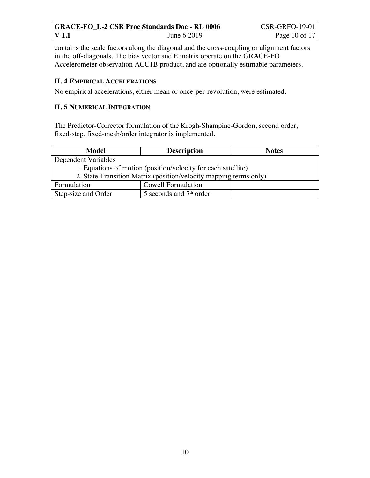| <b>GRACE-FO L-2 CSR Proc Standards Doc - RL 0006</b> |             | <b>CSR-GRFO-19-01</b> |
|------------------------------------------------------|-------------|-----------------------|
| V 1.1                                                | June 6 2019 | Page 10 of 17         |

contains the scale factors along the diagonal and the cross-coupling or alignment factors in the off-diagonals. The bias vector and E matrix operate on the GRACE-FO Accelerometer observation ACC1B product, and are optionally estimable parameters.

### **II. 4 EMPIRICAL ACCELERATIONS**

No empirical accelerations, either mean or once-per-revolution, were estimated.

#### **II. 5 NUMERICAL INTEGRATION**

The Predictor-Corrector formulation of the Krogh-Shampine-Gordon, second order, fixed-step, fixed-mesh/order integrator is implemented.

| Model                                                             | <b>Description</b>        | <b>Notes</b> |
|-------------------------------------------------------------------|---------------------------|--------------|
| Dependent Variables                                               |                           |              |
| 1. Equations of motion (position/velocity for each satellite)     |                           |              |
| 2. State Transition Matrix (position/velocity mapping terms only) |                           |              |
| Formulation                                                       | <b>Cowell Formulation</b> |              |
| Step-size and Order                                               | 5 seconds and $7th$ order |              |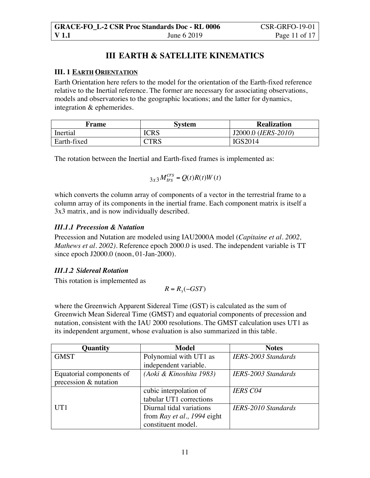## **III EARTH & SATELLITE KINEMATICS**

#### **III. 1 EARTH ORIENTATION**

Earth Orientation here refers to the model for the orientation of the Earth-fixed reference relative to the Inertial reference. The former are necessary for associating observations, models and observatories to the geographic locations; and the latter for dynamics, integration & ephemerides.

| Frame       | <b>System</b> | <b>Realization</b>  |
|-------------|---------------|---------------------|
| Inertial    | <b>ICRS</b>   | J2000.0 (IERS-2010) |
| Earth-fixed | TRS:          | IGS2014             |

The rotation between the Inertial and Earth-fixed frames is implemented as:

$$
{}_{3x3}M^{crs}_{trs} = Q(t)R(t)W(t)
$$

which converts the column array of components of a vector in the terrestrial frame to a column array of its components in the inertial frame. Each component matrix is itself a 3x3 matrix, and is now individually described.

### *III.1.1 Precession & Nutation*

Precession and Nutation are modeled using IAU2000A model (*Capitaine et al. 2002, Mathews et al. 2002)*. Reference epoch 2000.0 is used. The independent variable is TT since epoch J2000.0 (noon, 01-Jan-2000).

### *III.1.2 Sidereal Rotation*

This rotation is implemented as

$$
R = R_3(-GST)
$$

where the Greenwich Apparent Sidereal Time (GST) is calculated as the sum of Greenwich Mean Sidereal Time (GMST) and equatorial components of precession and nutation, consistent with the IAU 2000 resolutions. The GMST calculation uses UT1 as its independent argument, whose evaluation is also summarized in this table.

| Quantity                 | <b>Model</b>                | <b>Notes</b>               |
|--------------------------|-----------------------------|----------------------------|
| <b>GMST</b>              | Polynomial with UT1 as      | <b>IERS-2003 Standards</b> |
|                          | independent variable.       |                            |
| Equatorial components of | (Aoki & Kinoshita 1983)     | <b>IERS-2003 Standards</b> |
| precession & nutation    |                             |                            |
|                          | cubic interpolation of      | <b>IERS C04</b>            |
|                          | tabular UT1 corrections     |                            |
| UT1                      | Diurnal tidal variations    | <b>IERS-2010 Standards</b> |
|                          | from Ray et al., 1994 eight |                            |
|                          | constituent model.          |                            |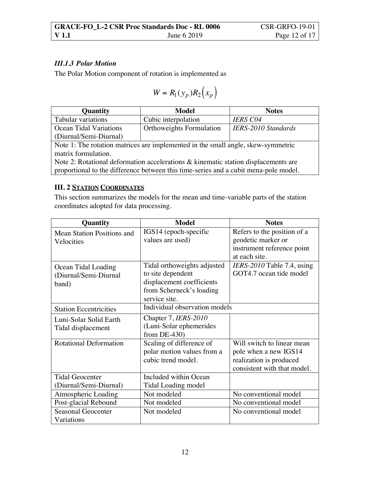### *III.1.3 Polar Motion*

The Polar Motion component of rotation is implemented as

$$
W = R_1(y_p)R_2(x_p)
$$

| Quantity                      | Model                           | <b>Notes</b>               |
|-------------------------------|---------------------------------|----------------------------|
| Tabular variations            | Cubic interpolation             | <b>IERS C04</b>            |
| <b>Ocean Tidal Variations</b> | <b>Orthoweights Formulation</b> | <b>IERS-2010 Standards</b> |
| (Diurnal/Semi-Diurnal)        |                                 |                            |
| $\mathbf{X}$                  |                                 |                            |

Note 1: The rotation matrices are implemented in the small angle, skew-symmetric matrix formulation.

Note 2: Rotational deformation accelerations & kinematic station displacements are proportional to the difference between this time-series and a cubit mena-pole model.

#### **III. 2 STATION COORDINATES**

This section summarizes the models for the mean and time-variable parts of the station coordinates adopted for data processing.

| <b>Quantity</b>               | <b>Model</b>                  | <b>Notes</b>                 |
|-------------------------------|-------------------------------|------------------------------|
| Mean Station Positions and    | IGS14 (epoch-specific         | Refers to the position of a  |
| Velocities                    | values are used)              | geodetic marker or           |
|                               |                               | instrument reference point   |
|                               |                               | at each site.                |
| Ocean Tidal Loading           | Tidal orthoweights adjusted   | $IERS-2010$ Table 7.4, using |
| (Diurnal/Semi-Diurnal         | to site dependent             | GOT4.7 ocean tide model      |
| band)                         | displacement coefficients     |                              |
|                               | from Scherneck's loading      |                              |
|                               | service site.                 |                              |
| <b>Station Eccentricities</b> | Individual observation models |                              |
| Luni-Solar Solid Earth        | Chapter 7, IERS-2010          |                              |
| Tidal displacement            | (Luni-Solar ephemerides       |                              |
|                               | from $DE-430$                 |                              |
| <b>Rotational Deformation</b> | Scaling of difference of      | Will switch to linear mean   |
|                               | polar motion values from a    | pole when a new IGS14        |
|                               | cubic trend model.            | realization is produced      |
|                               |                               | consistent with that model.  |
| <b>Tidal Geocenter</b>        | Included within Ocean         |                              |
| (Diurnal/Semi-Diurnal)        | <b>Tidal Loading model</b>    |                              |
| Atmospheric Loading           | Not modeled                   | No conventional model        |
| Post-glacial Rebound          | Not modeled                   | No conventional model        |
| <b>Seasonal Geocenter</b>     | Not modeled                   | No conventional model        |
| Variations                    |                               |                              |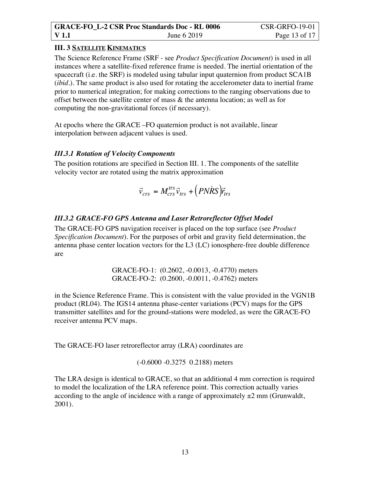### **III. 3 SATELLITE KINEMATICS**

The Science Reference Frame (SRF - see *Product Specification Document*) is used in all instances where a satellite-fixed reference frame is needed. The inertial orientation of the spacecraft (i.e. the SRF) is modeled using tabular input quaternion from product SCA1B (*ibid.*). The same product is also used for rotating the accelerometer data to inertial frame prior to numerical integration; for making corrections to the ranging observations due to offset between the satellite center of mass & the antenna location; as well as for computing the non-gravitational forces (if necessary).

At epochs where the GRACE –FO quaternion product is not available, linear interpolation between adjacent values is used.

#### *III.3.1 Rotation of Velocity Components*

The position rotations are specified in Section III. 1. The components of the satellite velocity vector are rotated using the matrix approximation

$$
\vec{v}_{crs} = M_{crs}^{trs}\vec{v}_{trs} + (PNRS)\vec{r}_{trs}
$$

### *III.3.2 GRACE-FO GPS Antenna and Laser Retroreflector Offset Model*

The GRACE-FO GPS navigation receiver is placed on the top surface (see *Product Specification Document*). For the purposes of orbit and gravity field determination, the antenna phase center location vectors for the L3 (LC) ionosphere-free double difference are

> GRACE-FO-1: (0.2602, -0.0013, -0.4770) meters GRACE-FO-2: (0.2600, -0.0011, -0.4762) meters

in the Science Reference Frame. This is consistent with the value provided in the VGN1B product (RL04). The IGS14 antenna phase-center variations (PCV) maps for the GPS transmitter satellites and for the ground-stations were modeled, as were the GRACE-FO receiver antenna PCV maps.

The GRACE-FO laser retroreflector array (LRA) coordinates are

(-0.6000 -0.3275 0.2188) meters

The LRA design is identical to GRACE, so that an additional 4 mm correction is required to model the localization of the LRA reference point. This correction actually varies according to the angle of incidence with a range of approximately  $\pm 2$  mm (Grunwaldt, 2001).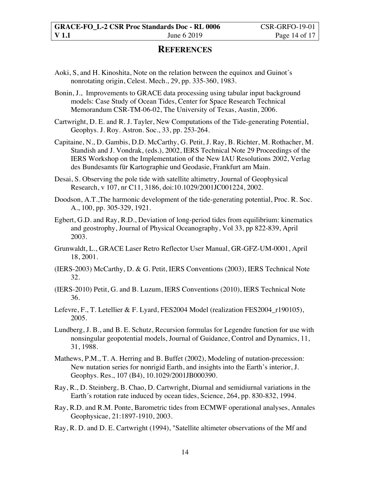## **REFERENCES**

- Aoki, S, and H. Kinoshita, Note on the relation between the equinox and Guinot´s nonrotating origin, Celest. Mech., 29, pp. 335-360, 1983.
- Bonin, J., Improvements to GRACE data processing using tabular input background models: Case Study of Ocean Tides, Center for Space Research Technical Memorandum CSR-TM-06-02, The University of Texas, Austin, 2006.
- Cartwright, D. E. and R. J. Tayler, New Computations of the Tide-generating Potential, Geophys. J. Roy. Astron. Soc., 33, pp. 253-264.
- Capitaine, N., D. Gambis, D.D. McCarthy, G. Petit, J. Ray, B. Richter, M. Rothacher, M. Standish and J. Vondrak, (eds.), 2002, IERS Technical Note 29 Proceedings of the IERS Workshop on the Implementation of the New IAU Resolutions 2002, Verlag des Bundesamts für Kartographie und Geodasie, Frankfurt am Main.
- Desai, S. Observing the pole tide with satellite altimetry, Journal of Geophysical Research, v 107, nr C11, 3186, doi:10.1029/2001JC001224, 2002.
- Doodson, A.T.,The harmonic development of the tide-generating potential, Proc. R. Soc. A., 100, pp. 305-329, 1921.
- Egbert, G.D. and Ray, R.D., Deviation of long-period tides from equilibrium: kinematics and geostrophy, Journal of Physical Oceanography, Vol 33, pp 822-839, April 2003.
- Grunwaldt, L., GRACE Laser Retro Reflector User Manual, GR-GFZ-UM-0001, April 18, 2001.
- (IERS-2003) McCarthy, D. & G. Petit, IERS Conventions (2003), IERS Technical Note 32.
- (IERS-2010) Petit, G. and B. Luzum, IERS Conventions (2010), IERS Technical Note 36.
- Lefevre, F., T. Letellier & F. Lyard, FES2004 Model (realization FES2004 r190105), 2005.
- Lundberg, J. B., and B. E. Schutz, Recursion formulas for Legendre function for use with nonsingular geopotential models, Journal of Guidance, Control and Dynamics, 11, 31, 1988.
- Mathews, P.M., T. A. Herring and B. Buffet (2002), Modeling of nutation-precession: New nutation series for nonrigid Earth, and insights into the Earth's interior, J. Geophys. Res., 107 (B4), 10.1029/2001JB000390.
- Ray, R., D. Steinberg, B. Chao, D. Cartwright, Diurnal and semidiurnal variations in the Earth´s rotation rate induced by ocean tides, Science, 264, pp. 830-832, 1994.
- Ray, R.D. and R.M. Ponte, Barometric tides from ECMWF operational analyses, Annales Geophysicae, 21:1897-1910, 2003.
- Ray, R. D. and D. E. Cartwright (1994), "Satellite altimeter observations of the Mf and